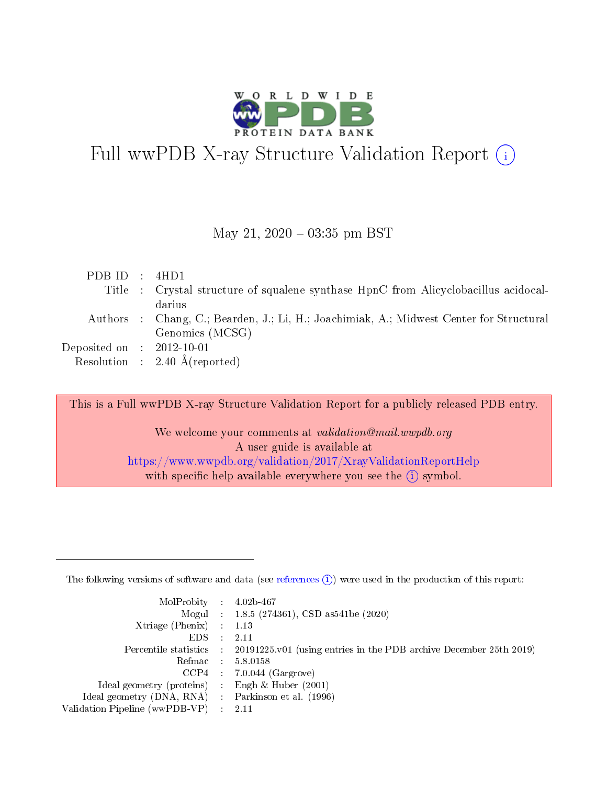

# Full wwPDB X-ray Structure Validation Report  $(i)$

#### May 21,  $2020 - 03:35$  pm BST

| PDBID : 4HD1                |                                                                                         |
|-----------------------------|-----------------------------------------------------------------------------------------|
|                             | Title : Crystal structure of squalene synthase HpnC from Alicyclobacillus acidocal-     |
|                             | darius                                                                                  |
|                             | Authors : Chang, C.; Bearden, J.; Li, H.; Joachimiak, A.; Midwest Center for Structural |
|                             | Genomics (MCSG)                                                                         |
| Deposited on : $2012-10-01$ |                                                                                         |
|                             | Resolution : $2.40 \text{ Å}$ (reported)                                                |

This is a Full wwPDB X-ray Structure Validation Report for a publicly released PDB entry.

We welcome your comments at validation@mail.wwpdb.org A user guide is available at <https://www.wwpdb.org/validation/2017/XrayValidationReportHelp> with specific help available everywhere you see the  $(i)$  symbol.

The following versions of software and data (see [references](https://www.wwpdb.org/validation/2017/XrayValidationReportHelp#references)  $(1)$ ) were used in the production of this report:

| $MolProbability$ : 4.02b-467                       |               |                                                                                            |
|----------------------------------------------------|---------------|--------------------------------------------------------------------------------------------|
|                                                    |               | Mogul : $1.8.5$ (274361), CSD as 541be (2020)                                              |
| Xtriage (Phenix) $: 1.13$                          |               |                                                                                            |
| EDS.                                               | $\mathcal{L}$ | -2.11                                                                                      |
|                                                    |               | Percentile statistics : 20191225.v01 (using entries in the PDB archive December 25th 2019) |
|                                                    |               | Refmac : 5.8.0158                                                                          |
|                                                    |               | $CCP4$ 7.0.044 (Gargrove)                                                                  |
| Ideal geometry (proteins) : Engh $\&$ Huber (2001) |               |                                                                                            |
| Ideal geometry (DNA, RNA) Parkinson et al. (1996)  |               |                                                                                            |
| Validation Pipeline (wwPDB-VP) : 2.11              |               |                                                                                            |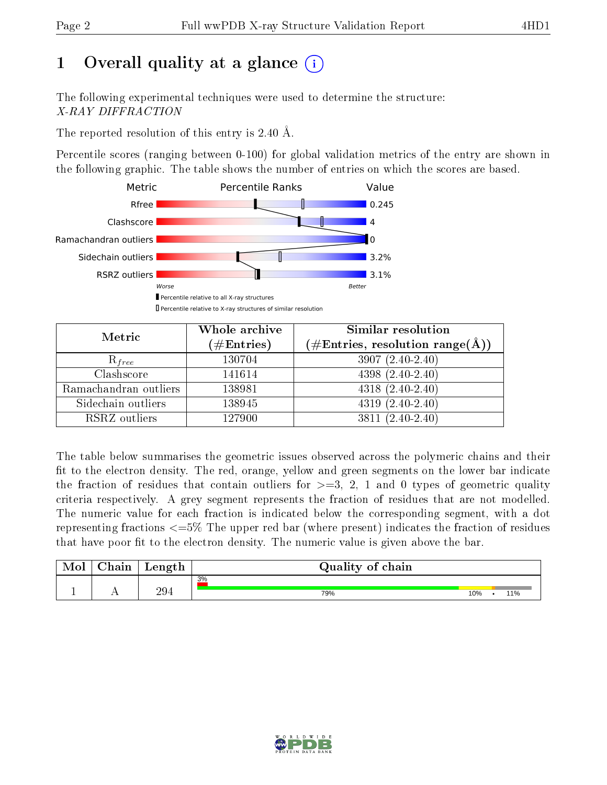# 1 [O](https://www.wwpdb.org/validation/2017/XrayValidationReportHelp#overall_quality)verall quality at a glance  $(i)$

The following experimental techniques were used to determine the structure: X-RAY DIFFRACTION

The reported resolution of this entry is 2.40 Å.

Percentile scores (ranging between 0-100) for global validation metrics of the entry are shown in the following graphic. The table shows the number of entries on which the scores are based.



| Metric                | Whole archive<br>$(\#\text{Entries})$ | Similar resolution<br>$(\#\text{Entries},\,\text{resolution}\,\,\text{range}(\textup{\AA}))$ |  |  |
|-----------------------|---------------------------------------|----------------------------------------------------------------------------------------------|--|--|
| $R_{free}$            | 130704                                | $3907(2.40-2.40)$                                                                            |  |  |
| Clashscore            | 141614                                | $4398(2.40-2.40)$                                                                            |  |  |
| Ramachandran outliers | 138981                                | $4318(2.40-2.40)$                                                                            |  |  |
| Sidechain outliers    | 138945                                | $4319(2.40-2.40)$                                                                            |  |  |
| RSRZ outliers         | 127900                                | $3811 (2.40 - 2.40)$                                                                         |  |  |

The table below summarises the geometric issues observed across the polymeric chains and their fit to the electron density. The red, orange, yellow and green segments on the lower bar indicate the fraction of residues that contain outliers for  $>=3, 2, 1$  and 0 types of geometric quality criteria respectively. A grey segment represents the fraction of residues that are not modelled. The numeric value for each fraction is indicated below the corresponding segment, with a dot representing fractions  $\epsilon=5\%$  The upper red bar (where present) indicates the fraction of residues that have poor fit to the electron density. The numeric value is given above the bar.

| Mol | $\cap$ hain | Length | Quality of chain |     |     |
|-----|-------------|--------|------------------|-----|-----|
|     |             |        | 3%               |     |     |
|     | . .         | 294    | 79%              | 10% | 11% |

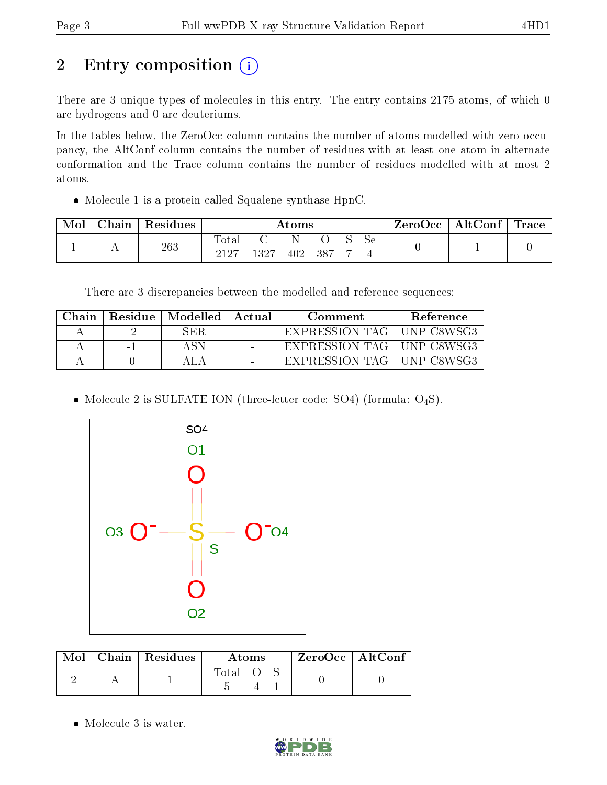# 2 Entry composition (i)

There are 3 unique types of molecules in this entry. The entry contains 2175 atoms, of which 0 are hydrogens and 0 are deuteriums.

In the tables below, the ZeroOcc column contains the number of atoms modelled with zero occupancy, the AltConf column contains the number of residues with at least one atom in alternate conformation and the Trace column contains the number of residues modelled with at most 2 atoms.

Molecule 1 is a protein called Squalene synthase HpnC.

| Mol | Chain | $\,$ Residues | Atoms                  |      |     |       |  | ZeroOcc   AltConf   Trace |  |  |
|-----|-------|---------------|------------------------|------|-----|-------|--|---------------------------|--|--|
|     | . .   | 263           | $\text{Total}$<br>9197 | 1327 | 402 | . 387 |  | Sе                        |  |  |

There are 3 discrepancies between the modelled and reference sequences:

| ∋hain |                 | Residue   Modelled | Actual          | Comment        | <b>Reference</b>   |
|-------|-----------------|--------------------|-----------------|----------------|--------------------|
|       | $\sim$ $\prime$ | SER                | $\sim$          | EXPRESSION TAG | <b>IINP C8WSG3</b> |
|       | $\sim$          |                    | $\qquad \qquad$ | EXPRESSION TAG | . UNP C8WSG3       |
|       |                 |                    |                 | EXPRESSION TAG | . IINP C8WSG3      |

• Molecule 2 is SULFATE ION (three-letter code: SO4) (formula:  $O_4S$ ).



|  | $Mol$   Chain   Residues | Atoms |  |  | $ZeroOcc \mid AltConf$ |  |
|--|--------------------------|-------|--|--|------------------------|--|
|  |                          | Total |  |  |                        |  |

Molecule 3 is water.

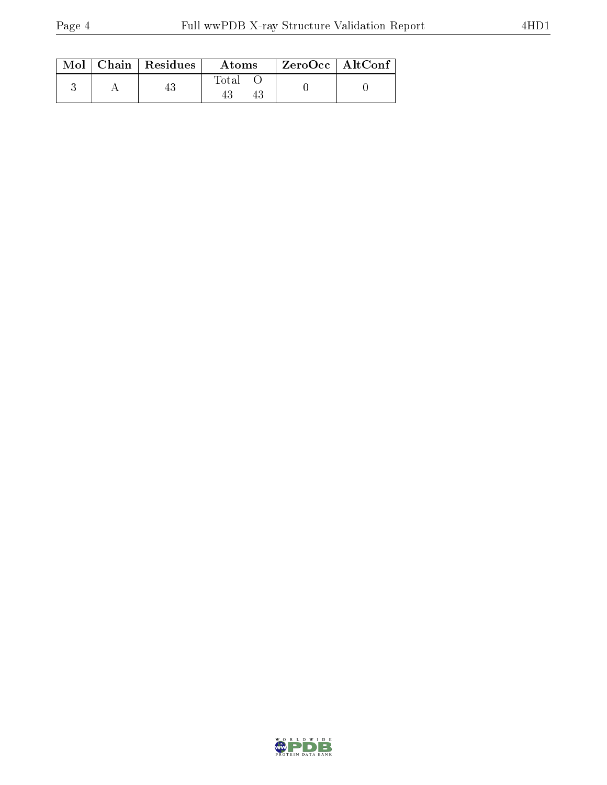|  | $\text{Mol}$   Chain   Residues | Atoms | ZeroOcc   AltConf |  |
|--|---------------------------------|-------|-------------------|--|
|  |                                 | Total |                   |  |

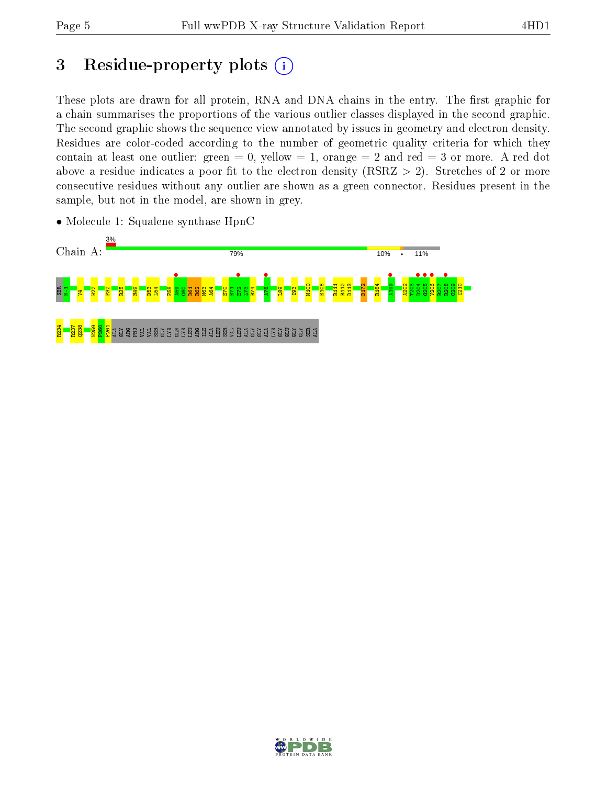## 3 Residue-property plots  $(i)$

These plots are drawn for all protein, RNA and DNA chains in the entry. The first graphic for a chain summarises the proportions of the various outlier classes displayed in the second graphic. The second graphic shows the sequence view annotated by issues in geometry and electron density. Residues are color-coded according to the number of geometric quality criteria for which they contain at least one outlier: green  $= 0$ , yellow  $= 1$ , orange  $= 2$  and red  $= 3$  or more. A red dot above a residue indicates a poor fit to the electron density (RSRZ  $> 2$ ). Stretches of 2 or more consecutive residues without any outlier are shown as a green connector. Residues present in the sample, but not in the model, are shown in grey.



• Molecule 1: Squalene synthase HpnC

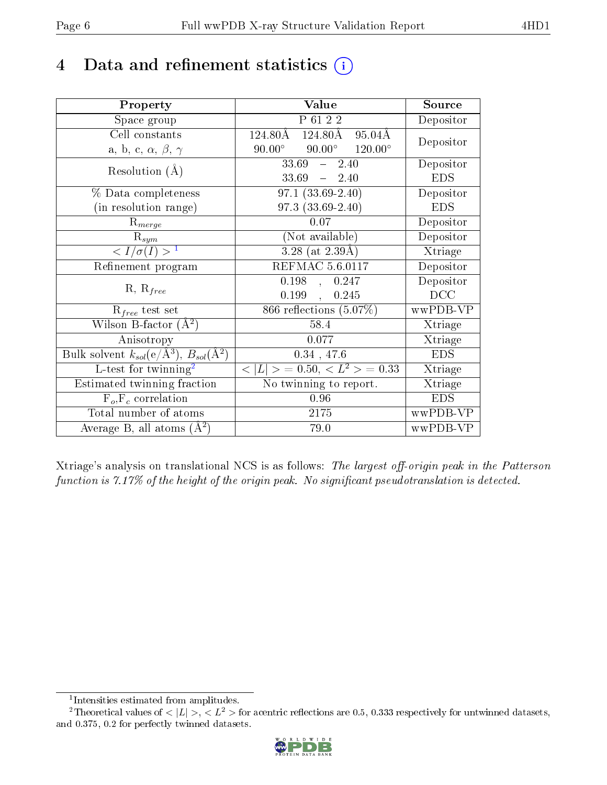### 4 Data and refinement statistics  $(i)$

| Property                                                                | Value                                              | Source     |
|-------------------------------------------------------------------------|----------------------------------------------------|------------|
| Space group                                                             | P 61 2 2                                           | Depositor  |
| Cell constants                                                          | 124.80Å<br>124.80Å<br>$95.04\text{\AA}$            |            |
| a, b, c, $\alpha$ , $\beta$ , $\gamma$                                  | $90.00^\circ$<br>$90.00^\circ$<br>$120.00^{\circ}$ | Depositor  |
| Resolution $(A)$                                                        | $33.69 - 2.40$                                     | Depositor  |
|                                                                         | $33.69 - 2.40$                                     | <b>EDS</b> |
| % Data completeness                                                     | $97.1(33.69-2.40)$                                 | Depositor  |
| (in resolution range)                                                   | $97.3(33.69-2.40)$                                 | <b>EDS</b> |
| $R_{merge}$                                                             | $0.07\,$                                           | Depositor  |
| $\mathrm{R}_{sym}$                                                      | (Not available)                                    | Depositor  |
| $\langle I/\sigma(I) \rangle^{-1}$                                      | $3.28$ (at $2.39\text{\AA}$ )                      | Xtriage    |
| Refinement program                                                      | <b>REFMAC 5.6.0117</b>                             | Depositor  |
|                                                                         | 0.198,<br>0.247                                    | Depositor  |
| $R, R_{free}$                                                           | 0.199,<br>0.245                                    | DCC        |
| $\mathcal{R}_{free}$ test set                                           | 866 reflections $(5.07\%)$                         | wwPDB-VP   |
| Wilson B-factor $(A^2)$                                                 | 58.4                                               | Xtriage    |
| Anisotropy                                                              | 0.077                                              | Xtriage    |
| Bulk solvent $k_{sol}(\mathrm{e}/\mathrm{A}^3),\,B_{sol}(\mathrm{A}^2)$ | $0.34$ , 47.6                                      | <b>EDS</b> |
| L-test for twinning <sup>2</sup>                                        | $< L >$ = 0.50, $< L^2 >$ = 0.33                   | Xtriage    |
| Estimated twinning fraction                                             | No twinning to report.                             | Xtriage    |
| $F_o, F_c$ correlation                                                  | $0.96\,$                                           | <b>EDS</b> |
| Total number of atoms                                                   | $2175\,$                                           | wwPDB-VP   |
| Average B, all atoms $(A^2)$                                            | 79.0                                               | wwPDB-VP   |

Xtriage's analysis on translational NCS is as follows: The largest off-origin peak in the Patterson function is  $7.17\%$  of the height of the origin peak. No significant pseudotranslation is detected.

<sup>&</sup>lt;sup>2</sup>Theoretical values of  $\langle |L| \rangle$ ,  $\langle L^2 \rangle$  for acentric reflections are 0.5, 0.333 respectively for untwinned datasets, and 0.375, 0.2 for perfectly twinned datasets.



<span id="page-5-1"></span><span id="page-5-0"></span><sup>1</sup> Intensities estimated from amplitudes.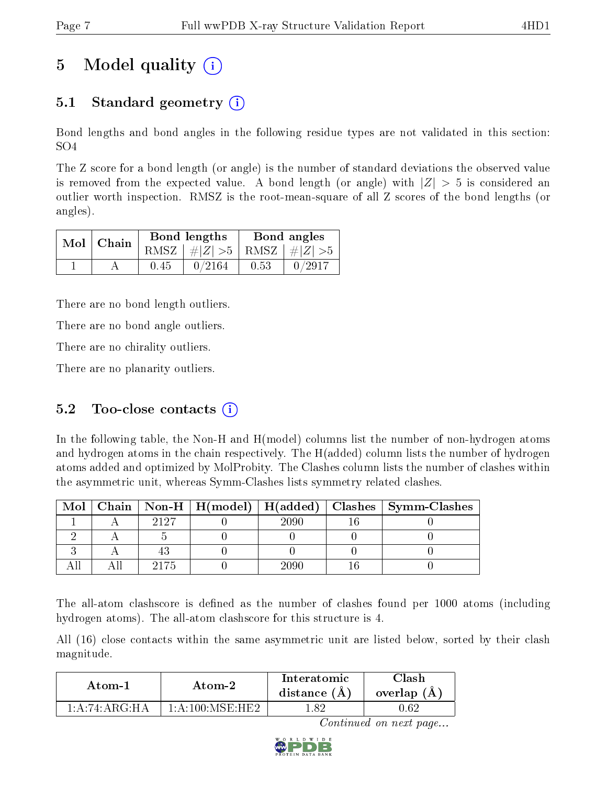# 5 Model quality  $(i)$

### 5.1 Standard geometry  $\overline{()}$

Bond lengths and bond angles in the following residue types are not validated in this section: SO4

The Z score for a bond length (or angle) is the number of standard deviations the observed value is removed from the expected value. A bond length (or angle) with  $|Z| > 5$  is considered an outlier worth inspection. RMSZ is the root-mean-square of all Z scores of the bond lengths (or angles).

| $Mol$   Chain |      | Bond lengths                    | Bond angles |                                                                    |  |
|---------------|------|---------------------------------|-------------|--------------------------------------------------------------------|--|
|               |      | RMSZ $ #Z  > 5$ RMSZ $ #Z  > 5$ |             |                                                                    |  |
|               | 0.45 | 0/2164                          | 0.53        | $\begin{array}{c} \begin{array}{c} \end{array} \end{array}$ 0/2917 |  |

There are no bond length outliers.

There are no bond angle outliers.

There are no chirality outliers.

There are no planarity outliers.

#### 5.2 Too-close contacts  $(i)$

In the following table, the Non-H and H(model) columns list the number of non-hydrogen atoms and hydrogen atoms in the chain respectively. The H(added) column lists the number of hydrogen atoms added and optimized by MolProbity. The Clashes column lists the number of clashes within the asymmetric unit, whereas Symm-Clashes lists symmetry related clashes.

| Mol |      |      | Chain   Non-H   H(model)   H(added)   Clashes   Symm-Clashes |
|-----|------|------|--------------------------------------------------------------|
|     | 9197 | շրցը |                                                              |
|     |      |      |                                                              |
|     |      |      |                                                              |
|     |      |      |                                                              |

The all-atom clashscore is defined as the number of clashes found per 1000 atoms (including hydrogen atoms). The all-atom clashscore for this structure is 4.

All (16) close contacts within the same asymmetric unit are listed below, sorted by their clash magnitude.

| Atom-2                                         |                        | Interatomic    | Clash         |
|------------------------------------------------|------------------------|----------------|---------------|
| Atom-1                                         |                        | distance $(A)$ | overlap $(A)$ |
| $1 \cdot A \cdot 74 \cdot A \cdot G \cdot H A$ | $1:$ A $:100:$ MSE HE2 | -82            |               |

Continued on next page...

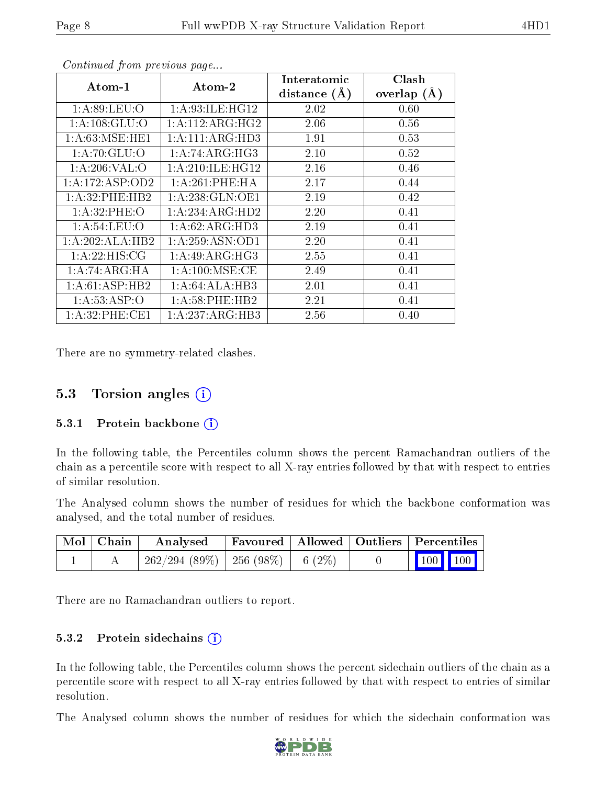|                     |                     | Interatomic    | Clash         |
|---------------------|---------------------|----------------|---------------|
| Atom-1              | Atom-2              | distance $(A)$ | overlap $(A)$ |
| 1: A:89:LEU:O       | 1: A:93:ILE: HG12   | 2.02           | 0.60          |
| 1: A: 108: GLU:O    | 1:A:112:ARG:HG2     | 2.06           | 0.56          |
| 1: A:63: MSE: HE1   | 1:A:111:ARG:HD3     | 1.91           | 0.53          |
| 1: A:70: GLU:O      | 1: A:74: ARG: HG3   | 2.10           | 0.52          |
| 1: A:206:VAL:O      | 1: A:210: ILE: HG12 | 2.16           | 0.46          |
| 1: A: 172: ASP: OD2 | 1:A:261:PHE:HA      | 2.17           | 0.44          |
| 1:A:32:PHE:HB2      | 1:A:238:GLN:OE1     | 2.19           | 0.42          |
| 1: A:32: PHE:O      | 1:A:234:ARG:HD2     | 2.20           | 0.41          |
| 1: A:54:LEU:O       | 1: A:62: ARG:HD3    | 2.19           | 0.41          |
| 1:A:202:ALA:HB2     | 1: A:259: ASN:OD1   | 2.20           | 0.41          |
| 1:A:22:HIS:CG       | 1: A:49: ARG: HG3   | 2.55           | 0.41          |
| 1:A:74:ARG:HA       | 1: A:100: MSE:CE    | 2.49           | 0.41          |
| 1:A:61:ASP:HB2      | 1:A:64:ALA:HB3      | 2.01           | 0.41          |
| 1: A: 53: ASP:O     | $1: A:58:$ PHE:HB2  | 2.21           | 0.41          |
| 1: A:32:PHE:CE1     | 1:A:237:ARG:HB3     | 2.56           | 0.40          |

Continued from previous page...

There are no symmetry-related clashes.

#### 5.3 Torsion angles  $(i)$

#### 5.3.1 Protein backbone  $(i)$

In the following table, the Percentiles column shows the percent Ramachandran outliers of the chain as a percentile score with respect to all X-ray entries followed by that with respect to entries of similar resolution.

The Analysed column shows the number of residues for which the backbone conformation was analysed, and the total number of residues.

| Mol   Chain | Analysed                               | Favoured   Allowed   Outliers   Percentiles |  |                         |  |
|-------------|----------------------------------------|---------------------------------------------|--|-------------------------|--|
|             | $262/294(89\%)$   256 (98\%)   6 (2\%) |                                             |  | $\vert$ 100 100 $\vert$ |  |

There are no Ramachandran outliers to report.

#### 5.3.2 Protein sidechains (i)

In the following table, the Percentiles column shows the percent sidechain outliers of the chain as a percentile score with respect to all X-ray entries followed by that with respect to entries of similar resolution.

The Analysed column shows the number of residues for which the sidechain conformation was

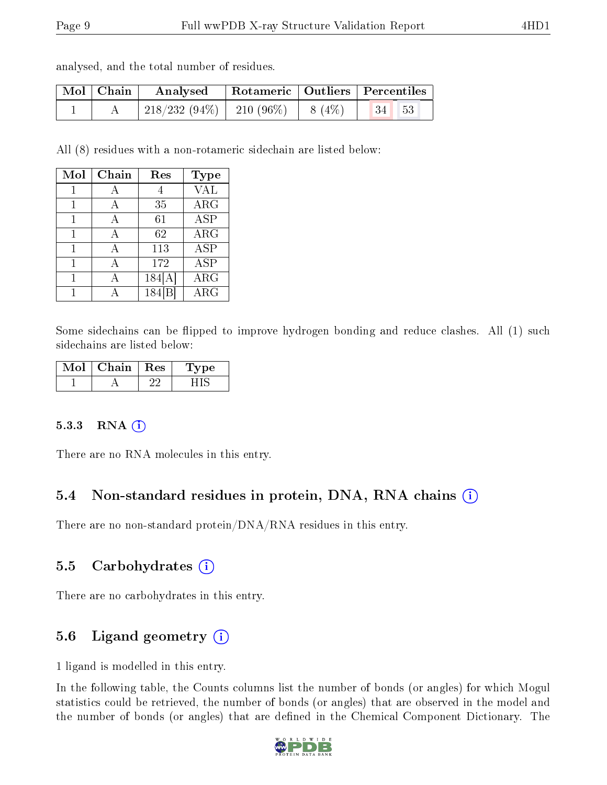| analysed, and the total number of residues. |  |  |  |  |  |  |
|---------------------------------------------|--|--|--|--|--|--|
|---------------------------------------------|--|--|--|--|--|--|

| Mol   Chain | $\bf{Analysed}$ | Rotameric   Outliers   Percentiles |       |  |
|-------------|-----------------|------------------------------------|-------|--|
|             |                 |                                    | 34 53 |  |

All (8) residues with a non-rotameric sidechain are listed below:

| Mol | Chain | Res    | <b>Type</b> |
|-----|-------|--------|-------------|
| 1   |       |        | <b>VAL</b>  |
| 1   | А     | 35     | $\rm{ARG}$  |
| 1   | А     | 61     | <b>ASP</b>  |
| 1   | А     | 62     | $\rm{ARG}$  |
| 1   | А     | 113    | <b>ASP</b>  |
| 1   | А     | 172    | <b>ASP</b>  |
|     |       | 184[A] | $\rm{ARG}$  |
|     |       | 184    | $\rm{ARG}$  |

Some sidechains can be flipped to improve hydrogen bonding and reduce clashes. All (1) such sidechains are listed below:

| MoL | Chain | Res | vpe |
|-----|-------|-----|-----|
|     |       |     |     |

#### 5.3.3 RNA (i)

There are no RNA molecules in this entry.

#### 5.4 Non-standard residues in protein, DNA, RNA chains  $(i)$

There are no non-standard protein/DNA/RNA residues in this entry.

#### 5.5 Carbohydrates  $(i)$

There are no carbohydrates in this entry.

#### 5.6 Ligand geometry  $(i)$

1 ligand is modelled in this entry.

In the following table, the Counts columns list the number of bonds (or angles) for which Mogul statistics could be retrieved, the number of bonds (or angles) that are observed in the model and the number of bonds (or angles) that are defined in the Chemical Component Dictionary. The

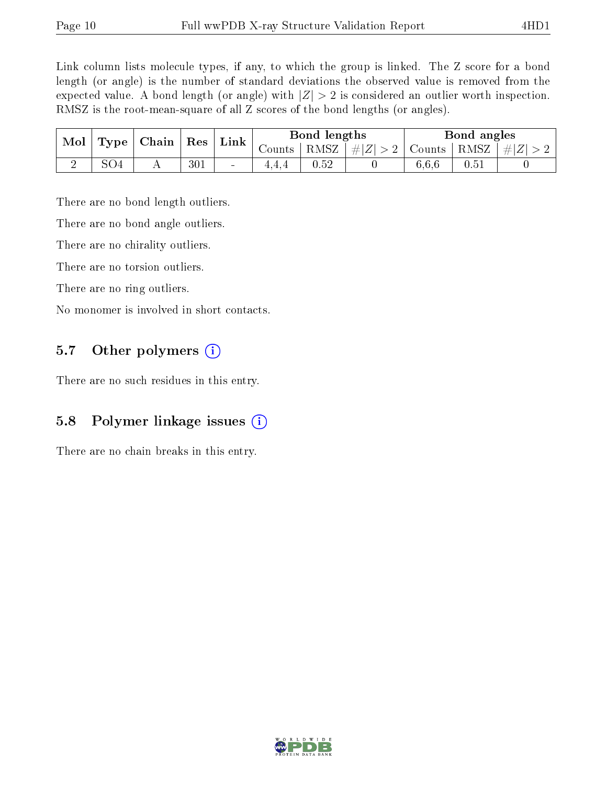Link column lists molecule types, if any, to which the group is linked. The Z score for a bond length (or angle) is the number of standard deviations the observed value is removed from the expected value. A bond length (or angle) with  $|Z| > 2$  is considered an outlier worth inspection. RMSZ is the root-mean-square of all Z scores of the bond lengths (or angles).

| Mol | Type            | $\mid$ Chain $\mid$ Res |     | Link                     | Bond lengths |          |                                   | Bond angles |      |           |
|-----|-----------------|-------------------------|-----|--------------------------|--------------|----------|-----------------------------------|-------------|------|-----------|
|     |                 |                         |     |                          | Counts       | $RMSZ +$ | $\left  \#Z \right  > 2$   Counts |             | RMSZ | $\pm  Z $ |
|     | SO <sub>4</sub> |                         | 301 | $\overline{\phantom{a}}$ | 4.4.4        | 0.52     |                                   | 6.6.6       | 0.51 |           |

There are no bond length outliers.

There are no bond angle outliers.

There are no chirality outliers.

There are no torsion outliers.

There are no ring outliers.

No monomer is involved in short contacts.

### 5.7 [O](https://www.wwpdb.org/validation/2017/XrayValidationReportHelp#nonstandard_residues_and_ligands)ther polymers  $(i)$

There are no such residues in this entry.

#### 5.8 Polymer linkage issues (i)

There are no chain breaks in this entry.

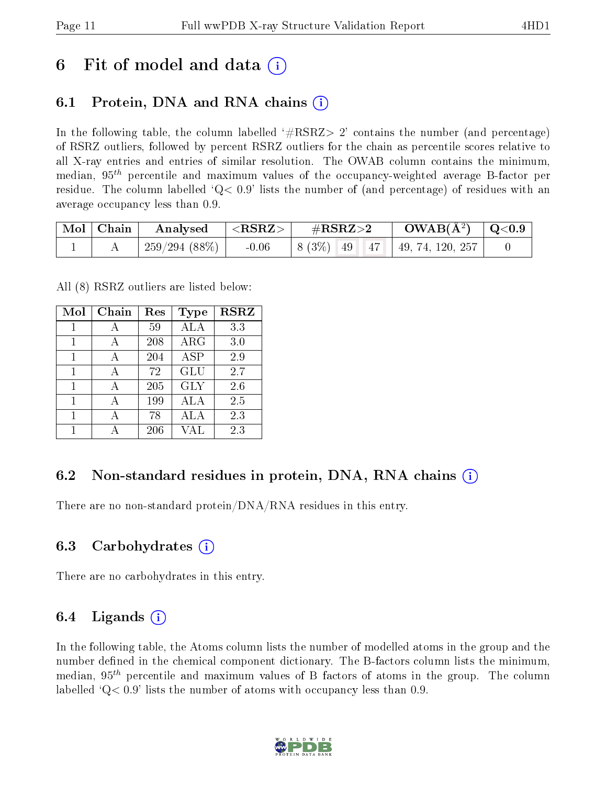### 6 Fit of model and data  $\left( \cdot \right)$

### 6.1 Protein, DNA and RNA chains (i)

In the following table, the column labelled  $#RSRZ>2'$  contains the number (and percentage) of RSRZ outliers, followed by percent RSRZ outliers for the chain as percentile scores relative to all X-ray entries and entries of similar resolution. The OWAB column contains the minimum, median,  $95<sup>th</sup>$  percentile and maximum values of the occupancy-weighted average B-factor per residue. The column labelled  $Q < 0.9$  lists the number of (and percentage) of residues with an average occupancy less than 0.9.

| Mol   Chain | Analysed $ \langle \text{RSRZ}\rangle $ | $\rm \#RSRZ{>}2$                             | $\rm{OWAB}(\rm{\AA}^2)$ $\mid$ Q<0.9 $\mid$ |  |
|-------------|-----------------------------------------|----------------------------------------------|---------------------------------------------|--|
|             | 259/294 (88%)   $-0.06$                 | $\vert 8 (3\%) 49 47 49, 74, 120, 257 \vert$ |                                             |  |

All (8) RSRZ outliers are listed below:

| Mol | $Chain$ | $\operatorname{Res}% \left( \mathcal{N}\right) \equiv\operatorname{Res}(\mathcal{N}_{0},\mathcal{N}_{0})$ | Type       | <b>RSRZ</b> |
|-----|---------|-----------------------------------------------------------------------------------------------------------|------------|-------------|
| 1   | А       | 59                                                                                                        | <b>ALA</b> | 3.3         |
| 1   | А       | 208                                                                                                       | ARG        | 3.0         |
|     |         | 204                                                                                                       | ASP        | 2.9         |
| 1   | А       | 72                                                                                                        | <b>GLU</b> | 2.7         |
| 1   |         | 205                                                                                                       | <b>GLY</b> | 2.6         |
| 1   |         | 199                                                                                                       | ALA        | 2.5         |
|     |         | 78                                                                                                        | ALA        | 2.3         |
|     |         | 206                                                                                                       | VAL        | 2.3         |

#### 6.2 Non-standard residues in protein, DNA, RNA chains  $(i)$

There are no non-standard protein/DNA/RNA residues in this entry.

#### 6.3 Carbohydrates (i)

There are no carbohydrates in this entry.

#### 6.4 Ligands  $(i)$

In the following table, the Atoms column lists the number of modelled atoms in the group and the number defined in the chemical component dictionary. The B-factors column lists the minimum, median,  $95<sup>th</sup>$  percentile and maximum values of B factors of atoms in the group. The column labelled  $Q< 0.9$ ' lists the number of atoms with occupancy less than 0.9.